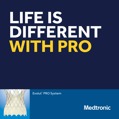# **LIFE IS DIFFERENT WITH PRO**



Evolut™ PRO System

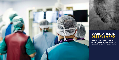

The Evolut™ PRO system combines exceptional valve design and advanced sealing with an excellent safety profile.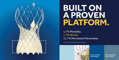

# **BUILT ON A PROVEN PLATFORM.**

1.7% Mortality 1.7% Stroke 11.7% Permanent Pacemaker

Forrest, et al., TCT, 2017 Evolut PRO 6-month data.



Supra-annular valve design

Self-expanding nitinol frame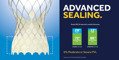

# **ADVANCED SEALING.**

### Evolut PRO 30-day and 6-month Outcomes



### 0% Moderate or Severe PVL

Forrest, et al., TCT, 2017 Evolut PRO 6-month data.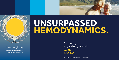

Supra-annular valve design maximizes leaflet coaptation and promotes single digit gradients and large EOAs.

# **UNSURPASSED HEMODYNAMICS.**

6.4 mmHg single digit gradients  $2.0 \text{ cm}^2$ large EOA

Evolut PRO Clinical Study, 60 patients, 30-day outcomes.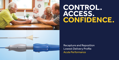





Recapture and Reposition Lowest Delivery Profile Acute Performance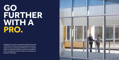# **GO FURTHER WITH A PRO.**

At Medtronic, we are committed to collaborating with TAVR Heart Teams to improve patient outcomes, expand access, and improve efficiencies. As a global leader in medical technology, services, and solutions, we're working with others to take on the industry's greatest challenges.

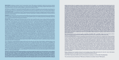**INDICATIONS** The Medtronic CoreValve™ Evolut™ R and CoreValve™ Evolut™ PRO systems are indicated for relief of aortic stenosis in patients with symptomatic heart disease due to severe native calcific aortic stenosis who are judged by a heart team, including a cardiac surgeon, to be at intermediate or greater risk for open surgical therapy (i.e., predicted risk of surgical mortality ≥ 3% at 30 days, based on the Society of Thoracic Surgeons (STS) risk score and other clinical comorbidities unmeasured by the STS risk calculator).

The Medtronic CoreValve Evolut R and CoreValve Evolut PRO systems are indicated for use in patients with symptomatic heart disease due to failure (stenosed, insufficient, or combined) of a surgical bioprosthetic aortic valve who are judged by a heart team, including a cardiac surgeon, to be at high or greater risk for open surgical therapy (i.e., STS predicted risk of operative mortality score ≥ 8% or at a ≥ 15% risk of mortality at 30 days).

**CONTRAINDICATIONS** The CoreValve Evolut R and PRO systems are contraindicated for patients presenting with any of the following conditions: known hypersensitivity or contraindication to aspirin, heparin (HIT/HITTS) and bivalirudin, ticlopidine, clopidogrel, Nitinol (Titanium or Nickel), or sensitivity to contrast media, which cannot be adequately pre-medicated; ongoing sepsis, including active endocarditis; pre-existing mechanical heart valve in the aortic position.

**WARNINGS** *General* Implantation of the CoreValve Evolut R and PRO systems should be performed only by physicians who have received Medtronic CoreValve training. This procedure should only be performed where emergency aortic valve surgery can be performed promptly. Mechanical failure of the delivery catheter system and/or accessories may result in patient complications. Accelerated deterioration of the bioprosthesis may occur in patients presenting with an altered calcium metabolism.

**PRECAUTIONS** *General* The safety and effectiveness of the CoreValve Evolut R and PRO systems have not been evaluated in the pediatric population. The safety and effectiveness of the bioprosthesis for aortic valve replacement have not been evaluated in the following patient populations: patients who do not meet the criteria for symptomatic severe native aortic stenosis as defined: (1) symptomatic severe high gradient aortic stenosis — aortic valve area ≤ 1.0 cm² or aortic valve area index ≤ 0.6 cm²/m², a mean aortic valve gradient ≥ 40 mmHg; or a peak aortic-jet velocity ≥ 4.0 m/s, (2) symptomatic severe low-flow, low-gradient aortic stenosis — aortic valve area ≤ 1.0cm² or aortic valve area index ≤ 0.6 cm²/ m<sup>2</sup> , a mean aortic valve gradient < 40 mmHg; and a peak aortic-jet velocity < 4.0 m/s ; who are at low surgical risk (predicted perioperative mortality risk of < 3%); with untreated, clinically significant coronary artery disease requiring revascularization; with a pre-existing prosthetic heart valve with a rigid support structure in either the mitral or pulmonic position if either the pre-existing prosthetic heart valve could affect the implantation or function of the bioprosthesis or the implantation of the bioprosthesis could affect the function of the pre-existing prosthetic heart valve; with cardiogenic shock manifested by low cardiac output, vasopressor dependence, or mechanical hemodynamic support. The safety and effectiveness of a CoreValve Evolut R and PRO bioprosthesis implanted within a failed pre-existing transcatheter bioprosthesis has not been demonstrated. Implanting a CoreValve Evolut R or PRO bioprosthesis in a degenerated surgical bioprosthesis [transcatheter aortic valve in surgical aortic valve (TAV in SAV)] should be avoided in the following conditions. The degenerated surgical bioprosthesis presents with: a significant concomitant perivalvular leak (between the prosthesis and the native annulus), is not securely fixed in the native annulus, or is not structurally intact (e.g., wire form frame fracture); partially detached leaflet that in the aortic position may obstruct a coronary ostium; stent frame with a manufacturers labeled inner diameter < 17 mm. The safety and effectiveness of the bioprosthesis for aortic valve replacement have not been evaluated in patient populations presenting with the following: blood dyscrasias as defined: leukopenia (WBC < 1,000 cells/mm3 ), thrombocytopenia (platelet count < 50,000 cells/mm<sup>3</sup>), history of bleeding diathesis or coagulopathy, or hypercoagulable states; congenital bicuspid or unicuspid valve; mixed aortic valve disease [aortic stenosis and aortic regurgitation with predominant aortic regurgitation (3-4+)]; moderate to severe (3-4+) or severe (4+) mitral or severe (4+) tricuspid regurgitation; hypertrophic obstructive cardiomyopathy; new or untreated echocardiographic evidence of intracardiac mass, thrombus, or vegetation; native aortic annulus size < 18 mm or > 30 mm for CoreValve Evolut R and < 18 mm or > 26 mm for CoreValve Evolut PRO per the baseline diagnostic imaging or surgical bioprosthetic aortic annulus size < 17 mm or > 30 mm for CoreValve Evolut R and < 17 mm or > 26 mm for CoreValve Evolut PRO; transarterial access not able to accommodate an 18 Fr sheath or the 14 Fr equivalent EnVeo R InLine™ sheath when using Model ENVEOR-US or transarterial access not able to accommodate a 20 Fr introducer sheath or the 16 Fr equivalent EnVeo R InLine sheath when using Model ENVEOR-N-US; sinus of valsalva anatomy that would prevent adequate coronary perfusion; moderate to severe mitral stenosis; severe ventricular dysfunction with left ventricular ejection fraction (LVEF) < 20%; symptomatic carotid or vertebral artery disease; severe basal septal hypertrophy with an outflow gradient.

*Prior to Use* Exposure to glutaraldehyde may cause irritation of the skin, eyes, nose, and throat. Avoid prolonged or repeated exposure to the vapors. Damage may result from forceful handling of the catheter. Prevent kinking of the catheter when removing it from the packaging. This device was designed for single patient use only. Do not reuse, reprocess, or re-sterilize this product. Reuse, reprocessing, or re-sterilization may compromise the structural integrity of the device and/or create a risk of contamination of the device, which could result in patient injury, illness, or death. The bioprosthesis size must be appropriate to fit the patient's anatomy. Proper sizing of the device is the responsibility of the physician. Refer to Instructions for Use for available sizes. Failure to implant a device within the sizing matrix could lead to adverse effects such as those listed below. Patients must present with access vessel diameters of ≥ 5 mm when using Model ENVEOR-US or ≥ 5.5 mm when using Model ENVEOR-N-US, or patients must present with an ascending aortic (direct aortic) access site ≥ 60 mm from the basal plane for both systems. Implantation of the bioprosthesis should be avoided in patients with aortic root angulation (angle between plane of aortic valve annulus and horizontal plane/vertebrae) of > 30° for right subclavian/axillary access or > 70° for femoral and left subclavian/axillary access. Use caution when using the subclavian/axillary approach in patients with a patent LIMA graft or patent RIMA graft. For direct aortic access, ensure the access site and trajectory are free of patent RIMA or a pre-existing patent RIMA graft.

*During Use* **For direct aortic and subclavian access procedures, care must be exercised when using the tip-retrieval mechanism to ensure adequate clearance to avoid advancement of the catheter tip through the bioprosthesis leaflets during device closure. For direct aortic access procedures, use a separate introducer sheath; do not use the EnVeo R InLine sheath. Adequate rinsing of the bioprosthesis with sterile saline, as described in the Instructions for Use, is mandatory before implantation. During rinsing, do not touch the leaflets or squeeze the bioprosthesis. If a misload is detected, unsheath the bioprosthesis and examine the bioprosthesis for damage (for example, permanent frame deformation, frayed sutures, or valve damage). Do not attempt to reload a damaged bioprosthesis. Do not load the bioprosthesis onto the catheter more than two times or after it has been inserted into a patient. Use the deployment knob to deploy and recapture the bioprosthesis. Do not use the trigger for deploying or recapturing because it could cause inaccurate placement of the bioprosthesis. Once the radiopaque capsule marker band reaches the distal end of the radiopaque** 

**paddle attachment (point of no recapture), retrieval of the bioprosthesis from the patient is not recommended. Retrieval after the point of no recapture may cause mechanical failure of the delivery catheter system, aortic root damage, coronary artery damage, myocardial damage, vascular complications, prosthetic valve dysfunction (including device malposition), embolization, stroke, and/or emergent surgery. During deployment, the bioprosthesis can be advanced or withdrawn as long as annular contact has not been made. Once annular contact is made, the bioprosthesis cannot be advanced in the retrograde direction; recapture until the bioprosthesis is free from annular contact, and then reposition in the retrograde direction. If necessary, and the radiopaque capsule marker band has not yet reached the distal end of the radiopaque paddle attachment, the bioprosthesis can be withdrawn (repositioned) in the antegrade direction. However, use caution when moving the bioprosthesis in the antegrade direction. While the catheter is in the patient, ensure the guidewire is extending from the tip. Do not remove the guidewire from the catheter while the catheter is inserted in the patient. Use the handle of the delivery system to reposition the bioprosthesis. Do not use the outer catheter sheath. There will be some resistance when the catheter is advanced through the vasculature. If there is a significant increase in resistance, stop advancement and investigate the cause of the resistance (for example, magnify the area of resistance) before proceeding. Do not force passage. Forcing passage could increase the risk of vascular complications (for example, vessel dissection or rupture). Persistent force on the catheter can cause the catheter to kink which could increase the risk of vascular complications (for example, vessel dissection or rupture). Once deployment is complete, repositioning of the bioprosthesis is not recommended. Repositioning of a deployed valve may cause aortic root damage, coronary artery damage, myocardial damage, vascular complications, prosthetic valve dysfunction (including device malposition), embolization, stroke, and/or emergent surgery. Do not attempt to retrieve or to recapture a bioprosthesis if any one of the outflow struts is protruding from the capsule. If any one of the outflow struts has deployed from the capsule, the bioprosthesis must be released from the catheter before the catheter can be withdrawn. Ensure the capsule is closed before catheter removal. When using a separate introducer sheath, if increased resistance is encountered when removing the catheter through the introducer sheath, do not force passage. Increased resistance may indicate a problem and forced passage may result in damage to the device and/or harm to the patient. If the cause of resistance cannot be determined or corrected, remove the catheter and introducer sheath as a single unit over the guidewire, and inspect the catheter and confirm that it is complete. Clinical long-term durability has not been established for the bioprosthesis. Evaluate bioprosthesis performance as needed during patient follow-up. Post procedure, administer appropriate antibiotic prophylaxis as needed for patients at risk for prosthetic valve infection and endocarditis. Post procedure, administer anticoagulation and/or antiplatelet therapy per physician/clinical judgment. Excessive contrast media may cause renal failure. Pre procedure, measure the patient's creatinine level. During the procedure, monitor contrast media usage. Conduct the procedure under fluoroscopy. The safety and efficacy of a CoreValve Evolut R or CoreValve Evolut PRO bioprosthesis implanted within a transcatheter bioprosthesis have not been demonstrated. However, in the event that a CoreValve Evolut R or CoreValve Evolut PRO bioprosthesis must be implanted within a transcatheter bioprosthesis to improve valve function, valve size and patient anatomy must be considered before implantation of the CoreValve Evolut R or CoreValve Evolut PRO bioprosthesis to ensure patient safety (for example, to avoid coronary obstruction). In the event that valve function or sealing is impaired due to excessive calcification or incomplete expansion, a post-implant balloon dilatation of the bioprosthesis may improve valve function and sealing. To ensure patient safety, valve size and patient anatomy must be considered when selecting the size of the balloon used for dilatation. The balloon size chosen for dilatation should not exceed the diameter of the native aortic annulus or, for surgical bioprosthetic valves, the manufacturer's labeled inner diameter. Refer to the specific balloon catheter manufacturer's compliance chart to ensure that the applied inflation pressure does not result in a balloon diameter that exceeds the indicated annulus range for the bioprosthesis. Refer to the specific balloon catheter manufacturer's labeling for proper instruction on the use of balloon catheter devices.** 

### **Note: Bench testing has only been conducted to confirm compatibility with NuMED Z-MED™\* and Z-MED II™\* Balloon Aortic Valvuloplasty catheters where CoreValve Evolut R and CoreValve Evolut PRO bioprosthesis device performance was maintained after dilation. Data on file.**

POTENTIAL ADVERSE EVENTS Potential risks associated with the implantation of the CoreValve Evolut R or CoreValve Evolut PRO transcatheter aortic valve may include, but are not limited to, the following: . death . myocardial infarction, cardiac arrest, cardiogenic shock, cardiac tamponade coronary occlusion, obstruction, or vessel spasm (including acute coronary closure) cardiovascular injury (including rupture, perforation, tissue erosion, or dissection of vessels, ascending aorta trauma, ventricle, myocardium, or valvular structures that may require intervention) = emergent surgical or transcatheter intervention [for example, coronary artery bypass, heart valve replacement, valve explant, percutaneous coronary intervention (PCI), balloon valvuloplasty] prosthetic valve dysfunction (regurgitation or stenosis) due to fracture; bending (out-of-round configuration) of the valve frame; underexpansion of the valve frame; calcification; pannus; leaflet wear, tear, prolapse, or retraction; poor valve coaptation; suture breaks or disruption; leaks; mal-sizing (prosthesis-patient mismatch); malposition (either too high or too low)/malplacement prosthetic valve migration/embolization prosthetic valve endocarditis prosthetic valve thrombosis delivery catheter system malfunction resulting in the need for additional re-crossing of the aortic valve and prolonged procedural time delivery catheter system component migration/ embolization = stroke (ischemic or hemorrhagic), transient ischemic attack (TIA), or other neurological deficits = heart failure = cardiac failure or low cardiac output • ancillary device embolization = individual organ [for example, cardiac, respiratory, renal (including acute kidney failure)] or multi-organ insufficiency or failure . major or minor bleeding that may require transfusion or intervention (including life-threatening or disabling bleeding) **·** vascular access-related complications (e.g., dissection, perforation, pain, bleeding, hematoma, pseudoaneurysm, irreversible nerve injury, compartment syndrome, arteriovenous fistula, stenosis) **mitral valve requrgitation or injury a conduction system disturbances** (for example, atrioventricular node block, left-bundle branch block, asystole), which may require a permanent pacemaker • infection (including septicemia) . hypotension or hypertension . hemolysis . peripheral ischemia . bowel ischemia . abnormal lab values (including electrolyte imbalance) . allergic reaction to antiplatelet agents, contrast medium, or anesthesia . exposure to radiation through fluoroscopy and angiography permanent disability.

Please reference the CoreValve Evolut R and CoreValve Evolut PRO Instructions for Use for more information regarding indications, warnings, precautions, and potential adverse events.

CAUTION: Federal law (USA) restricts this device to sale by or on the order of a physician.

The commercial name of the Evolut™ PRO device is Medtronic CoreValve™ Evolut™ PRO System.